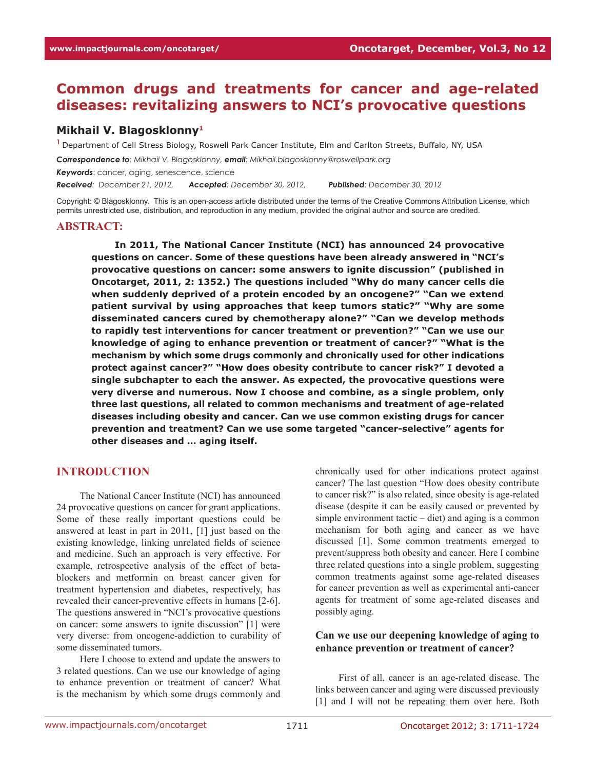# **Common drugs and treatments for cancer and age-related diseases: revitalizing answers to NCI's provocative questions**

### **Mikhail V. Blagosklonny1**

**<sup>1</sup>**Department of Cell Stress Biology, Roswell Park Cancer Institute, Elm and Carlton Streets, Buffalo, NY, USA

*Correspondence to: Mikhail V. Blagosklonny, email: Mikhail.blagosklonny@roswellpark.org* 

*Keywords*: cancer, aging, senescence, science

*Received: December 21, 2012, Accepted: December 30, 2012, Published: December 30, 2012*

Copyright: © Blagosklonny. This is an open-access article distributed under the terms of the Creative Commons Attribution License, which permits unrestricted use, distribution, and reproduction in any medium, provided the original author and source are credited.

#### **ABSTRACT:**

**In 2011, The National Cancer Institute (NCI) has announced 24 provocative questions on cancer. Some of these questions have been already answered in "NCI's provocative questions on cancer: some answers to ignite discussion" (published in Oncotarget, 2011, 2: 1352.) The questions included "Why do many cancer cells die when suddenly deprived of a protein encoded by an oncogene?" "Can we extend patient survival by using approaches that keep tumors static?" "Why are some disseminated cancers cured by chemotherapy alone?" "Can we develop methods to rapidly test interventions for cancer treatment or prevention?" "Can we use our knowledge of aging to enhance prevention or treatment of cancer?" "What is the mechanism by which some drugs commonly and chronically used for other indications protect against cancer?" "How does obesity contribute to cancer risk?" I devoted a single subchapter to each the answer. As expected, the provocative questions were very diverse and numerous. Now I choose and combine, as a single problem, only three last questions, all related to common mechanisms and treatment of age-related diseases including obesity and cancer. Can we use common existing drugs for cancer prevention and treatment? Can we use some targeted "cancer-selective" agents for other diseases and … aging itself.** 

## **INTRODUCTION**

The National Cancer Institute (NCI) has announced 24 provocative questions on cancer for grant applications. Some of these really important questions could be answered at least in part in 2011, [1] just based on the existing knowledge, linking unrelated fields of science and medicine. Such an approach is very effective. For example, retrospective analysis of the effect of betablockers and metformin on breast cancer given for treatment hypertension and diabetes, respectively, has revealed their cancer-preventive effects in humans [2-6]. The questions answered in "NCI's provocative questions on cancer: some answers to ignite discussion" [1] were very diverse: from oncogene-addiction to curability of some disseminated tumors.

Here I choose to extend and update the answers to 3 related questions. Can we use our knowledge of aging to enhance prevention or treatment of cancer? What is the mechanism by which some drugs commonly and

chronically used for other indications protect against cancer? The last question "How does obesity contribute to cancer risk?" is also related, since obesity is age-related disease (despite it can be easily caused or prevented by simple environment tactic  $-$  diet) and aging is a common mechanism for both aging and cancer as we have discussed [1]. Some common treatments emerged to prevent/suppress both obesity and cancer. Here I combine three related questions into a single problem, suggesting common treatments against some age-related diseases for cancer prevention as well as experimental anti-cancer agents for treatment of some age-related diseases and possibly aging.

#### **Can we use our deepening knowledge of aging to enhance prevention or treatment of cancer?**

First of all, cancer is an age-related disease. The links between cancer and aging were discussed previously [1] and I will not be repeating them over here. Both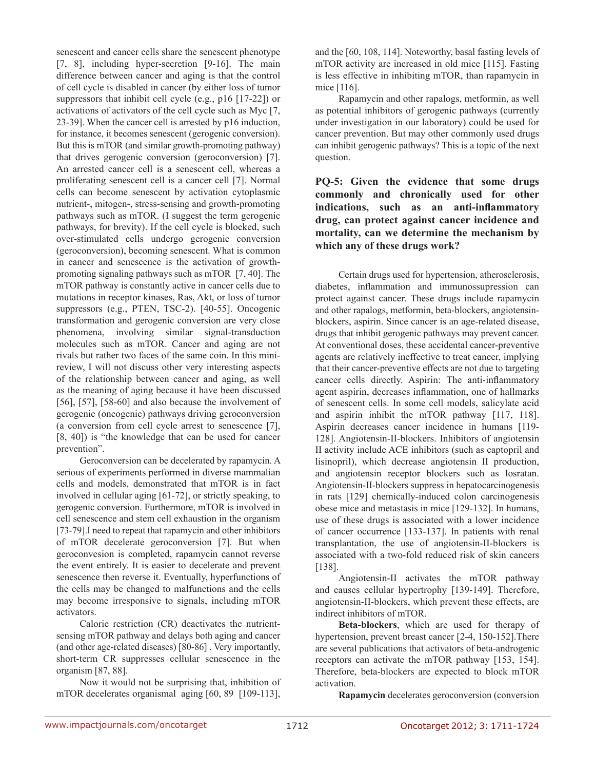senescent and cancer cells share the senescent phenotype [7, 8], including hyper-secretion [9-16]. The main difference between cancer and aging is that the control of cell cycle is disabled in cancer (by either loss of tumor suppressors that inhibit cell cycle (e.g., p16 [17-22]) or activations of activators of the cell cycle such as Myc [7, 23-39]. When the cancer cell is arrested by p16 induction, for instance, it becomes senescent (gerogenic conversion). But this is mTOR (and similar growth-promoting pathway) that drives gerogenic conversion (geroconversion) [7]. An arrested cancer cell is a senescent cell, whereas a proliferating senescent cell is a cancer cell [7]. Normal cells can become senescent by activation cytoplasmic nutrient-, mitogen-, stress-sensing and growth-promoting pathways such as mTOR. (I suggest the term gerogenic pathways, for brevity). If the cell cycle is blocked, such over-stimulated cells undergo gerogenic conversion (geroconversion), becoming senescent. What is common in cancer and senescence is the activation of growthpromoting signaling pathways such as mTOR [7, 40]. The mTOR pathway is constantly active in cancer cells due to mutations in receptor kinases, Ras, Akt, or loss of tumor suppressors (e.g., PTEN, TSC-2). [40-55]. Oncogenic transformation and gerogenic conversion are very close phenomena, involving similar signal-transduction molecules such as mTOR. Cancer and aging are not rivals but rather two faces of the same coin. In this minireview, I will not discuss other very interesting aspects of the relationship between cancer and aging, as well as the meaning of aging because it have been discussed [56], [57], [58-60] and also because the involvement of gerogenic (oncogenic) pathways driving geroconversion (a conversion from cell cycle arrest to senescence [7], [8, 40]) is "the knowledge that can be used for cancer prevention".

Geroconversion can be decelerated by rapamycin. A serious of experiments performed in diverse mammalian cells and models, demonstrated that mTOR is in fact involved in cellular aging [61-72], or strictly speaking, to gerogenic conversion. Furthermore, mTOR is involved in cell senescence and stem cell exhaustion in the organism [73-79].I need to repeat that rapamycin and other inhibitors of mTOR decelerate geroconversion [7]. But when geroconvesion is completed, rapamycin cannot reverse the event entirely. It is easier to decelerate and prevent senescence then reverse it. Eventually, hyperfunctions of the cells may be changed to malfunctions and the cells may become irresponsive to signals, including mTOR activators.

Calorie restriction (CR) deactivates the nutrientsensing mTOR pathway and delays both aging and cancer (and other age-related diseases) [80-86] . Very importantly, short-term CR suppresses cellular senescence in the organism [87, 88].

Now it would not be surprising that, inhibition of mTOR decelerates organismal aging [60, 89 [109-113],

and the [60, 108, 114]. Noteworthy, basal fasting levels of mTOR activity are increased in old mice [115]. Fasting is less effective in inhibiting mTOR, than rapamycin in mice [116].

Rapamycin and other rapalogs, metformin, as well as potential inhibitors of gerogenic pathways (currently under investigation in our laboratory) could be used for cancer prevention. But may other commonly used drugs can inhibit gerogenic pathways? This is a topic of the next question.

**PQ-5: Given the evidence that some drugs commonly and chronically used for other indications, such as an anti-inflammatory drug, can protect against cancer incidence and mortality, can we determine the mechanism by which any of these drugs work?** 

Certain drugs used for hypertension, atherosclerosis, diabetes, inflammation and immunossupression can protect against cancer. These drugs include rapamycin and other rapalogs, metformin, beta-blockers, angiotensinblockers, aspirin. Since cancer is an age-related disease, drugs that inhibit gerogenic pathways may prevent cancer. At conventional doses, these accidental cancer-preventive agents are relatively ineffective to treat cancer, implying that their cancer-preventive effects are not due to targeting cancer cells directly. Aspirin: The anti-inflammatory agent aspirin, decreases inflammation, one of hallmarks of senescent cells. In some cell models, salicylate acid and aspirin inhibit the mTOR pathway [117, 118]. Aspirin decreases cancer incidence in humans [119- 128]. Angiotensin-II-blockers. Inhibitors of angiotensin II activity include ACE inhibitors (such as captopril and lisinopril), which decrease angiotensin II production, and angiotensin receptor blockers such as losratan. Angiotensin-II-blockers suppress in hepatocarcinogenesis in rats [129] chemically-induced colon carcinogenesis obese mice and metastasis in mice [129-132]. In humans, use of these drugs is associated with a lower incidence of cancer occurrence [133-137]. In patients with renal transplantation, the use of angiotensin-II-blockers is associated with a two-fold reduced risk of skin cancers [138].

Angiotensin-II activates the mTOR pathway and causes cellular hypertrophy [139-149]. Therefore, angiotensin-II-blockers, which prevent these effects, are indirect inhibitors of mTOR.

**Beta-blockers**, which are used for therapy of hypertension, prevent breast cancer [2-4, 150-152].There are several publications that activators of beta-androgenic receptors can activate the mTOR pathway [153, 154]. Therefore, beta-blockers are expected to block mTOR activation.

**Rapamycin** decelerates geroconversion (conversion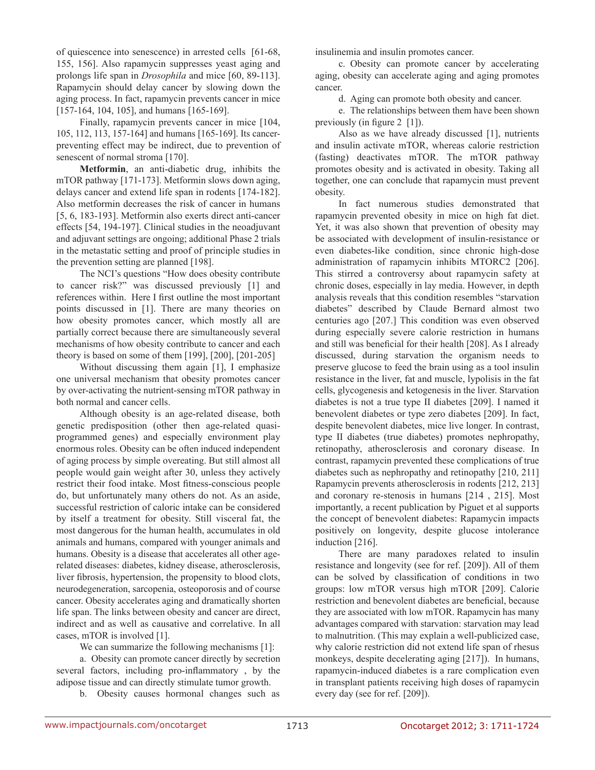of quiescence into senescence) in arrested cells [61-68, 155, 156]. Also rapamycin suppresses yeast aging and prolongs life span in *Drosophila* and mice [60, 89-113]. Rapamycin should delay cancer by slowing down the aging process. In fact, rapamycin prevents cancer in mice [157-164, 104, 105], and humans [165-169].

Finally, rapamycin prevents cancer in mice [104, 105, 112, 113, 157-164] and humans [165-169]. Its cancerpreventing effect may be indirect, due to prevention of senescent of normal stroma [170].

**Metformin**, an anti-diabetic drug, inhibits the mTOR pathway [171-173]. Metformin slows down aging, delays cancer and extend life span in rodents [174-182]. Also metformin decreases the risk of cancer in humans [5, 6, 183-193]. Metformin also exerts direct anti-cancer effects [54, 194-197]. Clinical studies in the neoadjuvant and adjuvant settings are ongoing; additional Phase 2 trials in the metastatic setting and proof of principle studies in the prevention setting are planned [198].

The NCI's questions "How does obesity contribute to cancer risk?" was discussed previously [1] and references within. Here I first outline the most important points discussed in [1]. There are many theories on how obesity promotes cancer, which mostly all are partially correct because there are simultaneously several mechanisms of how obesity contribute to cancer and each theory is based on some of them [199], [200], [201-205]

Without discussing them again [1], I emphasize one universal mechanism that obesity promotes cancer by over-activating the nutrient-sensing mTOR pathway in both normal and cancer cells.

Although obesity is an age-related disease, both genetic predisposition (other then age-related quasiprogrammed genes) and especially environment play enormous roles. Obesity can be often induced independent of aging process by simple overeating. But still almost all people would gain weight after 30, unless they actively restrict their food intake. Most fitness-conscious people do, but unfortunately many others do not. As an aside, successful restriction of caloric intake can be considered by itself a treatment for obesity. Still visceral fat, the most dangerous for the human health, accumulates in old animals and humans, compared with younger animals and humans. Obesity is a disease that accelerates all other agerelated diseases: diabetes, kidney disease, atherosclerosis, liver fibrosis, hypertension, the propensity to blood clots, neurodegeneration, sarcopenia, osteoporosis and of course cancer. Obesity accelerates aging and dramatically shorten life span. The links between obesity and cancer are direct, indirect and as well as causative and correlative. In all cases, mTOR is involved [1].

We can summarize the following mechanisms [1]:

a. Obesity can promote cancer directly by secretion several factors, including pro-inflammatory , by the adipose tissue and can directly stimulate tumor growth.

b. Obesity causes hormonal changes such as

insulinemia and insulin promotes cancer.

c. Obesity can promote cancer by accelerating aging, obesity can accelerate aging and aging promotes cancer.

d. Aging can promote both obesity and cancer.

e. The relationships between them have been shown previously (in figure 2 [1]).

Also as we have already discussed [1], nutrients and insulin activate mTOR, whereas calorie restriction (fasting) deactivates mTOR. The mTOR pathway promotes obesity and is activated in obesity. Taking all together, one can conclude that rapamycin must prevent obesity.

In fact numerous studies demonstrated that rapamycin prevented obesity in mice on high fat diet. Yet, it was also shown that prevention of obesity may be associated with development of insulin-resistance or even diabetes-like condition, since chronic high-dose administration of rapamycin inhibits MTORC2 [206]. This stirred a controversy about rapamycin safety at chronic doses, especially in lay media. However, in depth analysis reveals that this condition resembles "starvation diabetes" described by Claude Bernard almost two centuries ago [207.] This condition was even observed during especially severe calorie restriction in humans and still was beneficial for their health [208]. As I already discussed, during starvation the organism needs to preserve glucose to feed the brain using as a tool insulin resistance in the liver, fat and muscle, lypolisis in the fat cells, glycogenesis and ketogenesis in the liver. Starvation diabetes is not a true type II diabetes [209]. I named it benevolent diabetes or type zero diabetes [209]. In fact, despite benevolent diabetes, mice live longer. In contrast, type II diabetes (true diabetes) promotes nephropathy, retinopathy, atherosclerosis and coronary disease. In contrast, rapamycin prevented these complications of true diabetes such as nephropathy and retinopathy [210, 211] Rapamycin prevents atherosclerosis in rodents [212, 213] and coronary re-stenosis in humans [214 , 215]. Most importantly, a recent publication by Piguet et al supports the concept of benevolent diabetes: Rapamycin impacts positively on longevity, despite glucose intolerance induction [216].

There are many paradoxes related to insulin resistance and longevity (see for ref. [209]). All of them can be solved by classification of conditions in two groups: low mTOR versus high mTOR [209]. Calorie restriction and benevolent diabetes are beneficial, because they are associated with low mTOR. Rapamycin has many advantages compared with starvation: starvation may lead to malnutrition. (This may explain a well-publicized case, why calorie restriction did not extend life span of rhesus monkeys, despite decelerating aging [217]). In humans, rapamycin-induced diabetes is a rare complication even in transplant patients receiving high doses of rapamycin every day (see for ref. [209]).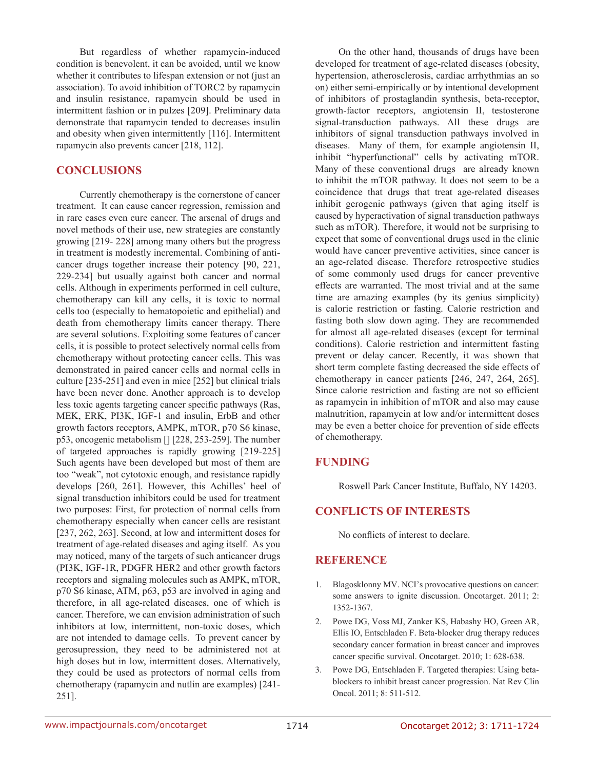But regardless of whether rapamycin-induced condition is benevolent, it can be avoided, until we know whether it contributes to lifespan extension or not (just an association). To avoid inhibition of TORC2 by rapamycin and insulin resistance, rapamycin should be used in intermittent fashion or in pulzes [209]. Preliminary data demonstrate that rapamycin tended to decreases insulin and obesity when given intermittently [116]. Intermittent rapamycin also prevents cancer [218, 112].

# **CONCLUSIONS**

Currently chemotherapy is the cornerstone of cancer treatment. It can cause cancer regression, remission and in rare cases even cure cancer. The arsenal of drugs and novel methods of their use, new strategies are constantly growing [219- 228] among many others but the progress in treatment is modestly incremental. Combining of anticancer drugs together increase their potency [90, 221, 229-234] but usually against both cancer and normal cells. Although in experiments performed in cell culture, chemotherapy can kill any cells, it is toxic to normal cells too (especially to hematopoietic and epithelial) and death from chemotherapy limits cancer therapy. There are several solutions. Exploiting some features of cancer cells, it is possible to protect selectively normal cells from chemotherapy without protecting cancer cells. This was demonstrated in paired cancer cells and normal cells in culture [235-251] and even in mice [252] but clinical trials have been never done. Another approach is to develop less toxic agents targeting cancer specific pathways (Ras, MEK, ERK, PI3K, IGF-1 and insulin, ErbB and other growth factors receptors, AMPK, mTOR, p70 S6 kinase, p53, oncogenic metabolism [] [228, 253-259]. The number of targeted approaches is rapidly growing [219-225] Such agents have been developed but most of them are too "weak", not cytotoxic enough, and resistance rapidly develops [260, 261]. However, this Achilles' heel of signal transduction inhibitors could be used for treatment two purposes: First, for protection of normal cells from chemotherapy especially when cancer cells are resistant [237, 262, 263]. Second, at low and intermittent doses for treatment of age-related diseases and aging itself. As you may noticed, many of the targets of such anticancer drugs (PI3K, IGF-1R, PDGFR HER2 and other growth factors receptors and signaling molecules such as AMPK, mTOR, p70 S6 kinase, ATM, p63, p53 are involved in aging and therefore, in all age-related diseases, one of which is cancer. Therefore, we can envision administration of such inhibitors at low, intermittent, non-toxic doses, which are not intended to damage cells. To prevent cancer by gerosupression, they need to be administered not at high doses but in low, intermittent doses. Alternatively, they could be used as protectors of normal cells from chemotherapy (rapamycin and nutlin are examples) [241- 251].

On the other hand, thousands of drugs have been developed for treatment of age-related diseases (obesity, hypertension, atherosclerosis, cardiac arrhythmias an so on) either semi-empirically or by intentional development of inhibitors of prostaglandin synthesis, beta-receptor, growth-factor receptors, angiotensin II, testosterone signal-transduction pathways. All these drugs are inhibitors of signal transduction pathways involved in diseases. Many of them, for example angiotensin II, inhibit "hyperfunctional" cells by activating mTOR. Many of these conventional drugs are already known to inhibit the mTOR pathway. It does not seem to be a coincidence that drugs that treat age-related diseases inhibit gerogenic pathways (given that aging itself is caused by hyperactivation of signal transduction pathways such as mTOR). Therefore, it would not be surprising to expect that some of conventional drugs used in the clinic would have cancer preventive activities, since cancer is an age-related disease. Therefore retrospective studies of some commonly used drugs for cancer preventive effects are warranted. The most trivial and at the same time are amazing examples (by its genius simplicity) is calorie restriction or fasting. Calorie restriction and fasting both slow down aging. They are recommended for almost all age-related diseases (except for terminal conditions). Calorie restriction and intermittent fasting prevent or delay cancer. Recently, it was shown that short term complete fasting decreased the side effects of chemotherapy in cancer patients [246, 247, 264, 265]. Since calorie restriction and fasting are not so efficient as rapamycin in inhibition of mTOR and also may cause malnutrition, rapamycin at low and/or intermittent doses may be even a better choice for prevention of side effects of chemotherapy.

## **FUNDING**

Roswell Park Cancer Institute, Buffalo, NY 14203.

## **CONFLICTS OF INTERESTS**

No conflicts of interest to declare.

## **REFERENCE**

- 1. Blagosklonny MV. NCI's provocative questions on cancer: some answers to ignite discussion. Oncotarget. 2011; 2: 1352-1367.
- 2. Powe DG, Voss MJ, Zanker KS, Habashy HO, Green AR, Ellis IO, Entschladen F. Beta-blocker drug therapy reduces secondary cancer formation in breast cancer and improves cancer specific survival. Oncotarget. 2010; 1: 628-638.
- 3. Powe DG, Entschladen F. Targeted therapies: Using betablockers to inhibit breast cancer progression. Nat Rev Clin Oncol. 2011; 8: 511-512.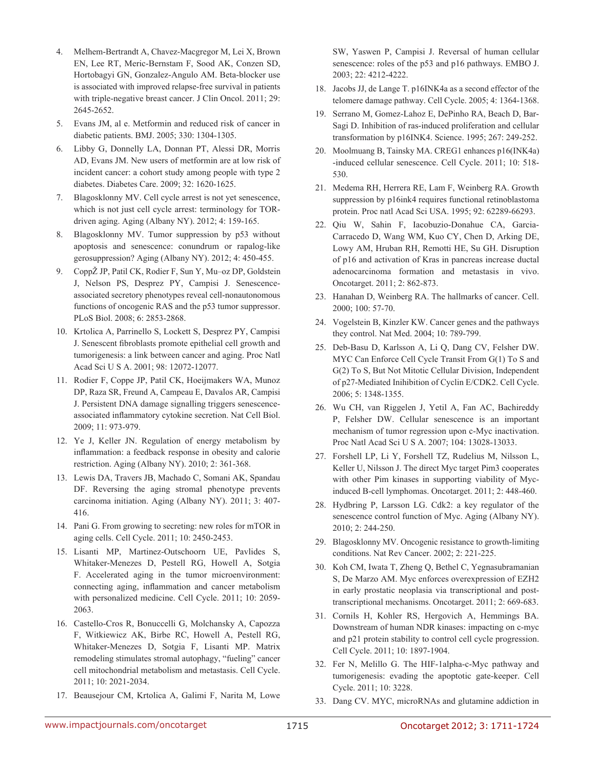- 4. Melhem-Bertrandt A, Chavez-Macgregor M, Lei X, Brown EN, Lee RT, Meric-Bernstam F, Sood AK, Conzen SD, Hortobagyi GN, Gonzalez-Angulo AM. Beta-blocker use is associated with improved relapse-free survival in patients with triple-negative breast cancer. J Clin Oncol. 2011; 29: 2645-2652.
- 5. Evans JM, al e. Metformin and reduced risk of cancer in diabetic patients. BMJ. 2005; 330: 1304-1305.
- 6. Libby G, Donnelly LA, Donnan PT, Alessi DR, Morris AD, Evans JM. New users of metformin are at low risk of incident cancer: a cohort study among people with type 2 diabetes. Diabetes Care. 2009; 32: 1620-1625.
- 7. Blagosklonny MV. Cell cycle arrest is not yet senescence, which is not just cell cycle arrest: terminology for TORdriven aging. Aging (Albany NY). 2012; 4: 159-165.
- 8. Blagosklonny MV. Tumor suppression by p53 without apoptosis and senescence: conundrum or rapalog-like gerosuppression? Aging (Albany NY). 2012; 4: 450-455.
- 9. CoppŽ JP, Patil CK, Rodier F, Sun Y, Mu–oz DP, Goldstein J, Nelson PS, Desprez PY, Campisi J. Senescenceassociated secretory phenotypes reveal cell-nonautonomous functions of oncogenic RAS and the p53 tumor suppressor. PLoS Biol. 2008; 6: 2853-2868.
- 10. Krtolica A, Parrinello S, Lockett S, Desprez PY, Campisi J. Senescent fibroblasts promote epithelial cell growth and tumorigenesis: a link between cancer and aging. Proc Natl Acad Sci U S A. 2001; 98: 12072-12077.
- 11. Rodier F, Coppe JP, Patil CK, Hoeijmakers WA, Munoz DP, Raza SR, Freund A, Campeau E, Davalos AR, Campisi J. Persistent DNA damage signalling triggers senescenceassociated inflammatory cytokine secretion. Nat Cell Biol. 2009; 11: 973-979.
- 12. Ye J, Keller JN. Regulation of energy metabolism by inflammation: a feedback response in obesity and calorie restriction. Aging (Albany NY). 2010; 2: 361-368.
- 13. Lewis DA, Travers JB, Machado C, Somani AK, Spandau DF. Reversing the aging stromal phenotype prevents carcinoma initiation. Aging (Albany NY). 2011; 3: 407- 416.
- 14. Pani G. From growing to secreting: new roles for mTOR in aging cells. Cell Cycle. 2011; 10: 2450-2453.
- 15. Lisanti MP, Martinez-Outschoorn UE, Pavlides S, Whitaker-Menezes D, Pestell RG, Howell A, Sotgia F. Accelerated aging in the tumor microenvironment: connecting aging, inflammation and cancer metabolism with personalized medicine. Cell Cycle. 2011; 10: 2059- 2063.
- 16. Castello-Cros R, Bonuccelli G, Molchansky A, Capozza F, Witkiewicz AK, Birbe RC, Howell A, Pestell RG, Whitaker-Menezes D, Sotgia F, Lisanti MP. Matrix remodeling stimulates stromal autophagy, "fueling" cancer cell mitochondrial metabolism and metastasis. Cell Cycle. 2011; 10: 2021-2034.
- 17. Beausejour CM, Krtolica A, Galimi F, Narita M, Lowe

SW, Yaswen P, Campisi J. Reversal of human cellular senescence: roles of the p53 and p16 pathways. EMBO J. 2003; 22: 4212-4222.

- 18. Jacobs JJ, de Lange T. p16INK4a as a second effector of the telomere damage pathway. Cell Cycle. 2005; 4: 1364-1368.
- 19. Serrano M, Gomez-Lahoz E, DePinho RA, Beach D, Bar-Sagi D. Inhibition of ras-induced proliferation and cellular transformation by p16INK4. Science. 1995; 267: 249-252.
- 20. Moolmuang B, Tainsky MA. CREG1 enhances p16(INK4a) -induced cellular senescence. Cell Cycle. 2011; 10: 518- 530.
- 21. Medema RH, Herrera RE, Lam F, Weinberg RA. Growth suppression by p16ink4 requires functional retinoblastoma protein. Proc natl Acad Sci USA. 1995; 92: 62289-66293.
- 22. Qiu W, Sahin F, Iacobuzio-Donahue CA, Garcia-Carracedo D, Wang WM, Kuo CY, Chen D, Arking DE, Lowy AM, Hruban RH, Remotti HE, Su GH. Disruption of p16 and activation of Kras in pancreas increase ductal adenocarcinoma formation and metastasis in vivo. Oncotarget. 2011; 2: 862-873.
- 23. Hanahan D, Weinberg RA. The hallmarks of cancer. Cell. 2000; 100: 57-70.
- 24. Vogelstein B, Kinzler KW. Cancer genes and the pathways they control. Nat Med. 2004; 10: 789-799.
- 25. Deb-Basu D, Karlsson A, Li Q, Dang CV, Felsher DW. MYC Can Enforce Cell Cycle Transit From G(1) To S and G(2) To S, But Not Mitotic Cellular Division, Independent of p27-Mediated Inihibition of Cyclin E/CDK2. Cell Cycle. 2006; 5: 1348-1355.
- 26. Wu CH, van Riggelen J, Yetil A, Fan AC, Bachireddy P, Felsher DW. Cellular senescence is an important mechanism of tumor regression upon c-Myc inactivation. Proc Natl Acad Sci U S A. 2007; 104: 13028-13033.
- 27. Forshell LP, Li Y, Forshell TZ, Rudelius M, Nilsson L, Keller U, Nilsson J. The direct Myc target Pim3 cooperates with other Pim kinases in supporting viability of Mycinduced B-cell lymphomas. Oncotarget. 2011; 2: 448-460.
- 28. Hydbring P, Larsson LG. Cdk2: a key regulator of the senescence control function of Myc. Aging (Albany NY). 2010; 2: 244-250.
- 29. Blagosklonny MV. Oncogenic resistance to growth-limiting conditions. Nat Rev Cancer. 2002; 2: 221-225.
- 30. Koh CM, Iwata T, Zheng Q, Bethel C, Yegnasubramanian S, De Marzo AM. Myc enforces overexpression of EZH2 in early prostatic neoplasia via transcriptional and posttranscriptional mechanisms. Oncotarget. 2011; 2: 669-683.
- 31. Cornils H, Kohler RS, Hergovich A, Hemmings BA. Downstream of human NDR kinases: impacting on c-myc and p21 protein stability to control cell cycle progression. Cell Cycle. 2011; 10: 1897-1904.
- 32. Fer N, Melillo G. The HIF-1alpha-c-Myc pathway and tumorigenesis: evading the apoptotic gate-keeper. Cell Cycle. 2011; 10: 3228.
- 33. Dang CV. MYC, microRNAs and glutamine addiction in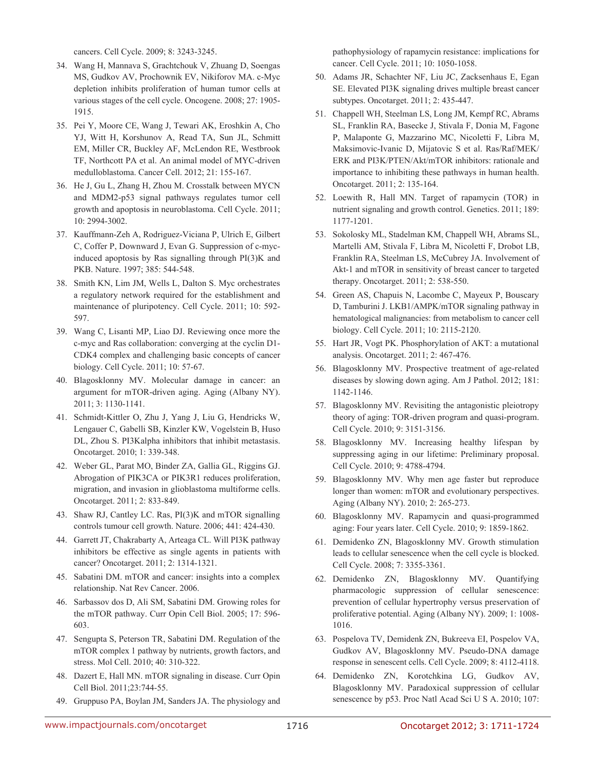cancers. Cell Cycle. 2009; 8: 3243-3245.

- 34. Wang H, Mannava S, Grachtchouk V, Zhuang D, Soengas MS, Gudkov AV, Prochownik EV, Nikiforov MA. c-Myc depletion inhibits proliferation of human tumor cells at various stages of the cell cycle. Oncogene. 2008; 27: 1905- 1915.
- 35. Pei Y, Moore CE, Wang J, Tewari AK, Eroshkin A, Cho YJ, Witt H, Korshunov A, Read TA, Sun JL, Schmitt EM, Miller CR, Buckley AF, McLendon RE, Westbrook TF, Northcott PA et al. An animal model of MYC-driven medulloblastoma. Cancer Cell. 2012; 21: 155-167.
- 36. He J, Gu L, Zhang H, Zhou M. Crosstalk between MYCN and MDM2-p53 signal pathways regulates tumor cell growth and apoptosis in neuroblastoma. Cell Cycle. 2011; 10: 2994-3002.
- 37. Kauffmann-Zeh A, Rodriguez-Viciana P, Ulrich E, Gilbert C, Coffer P, Downward J, Evan G. Suppression of c-mycinduced apoptosis by Ras signalling through PI(3)K and PKB. Nature. 1997; 385: 544-548.
- 38. Smith KN, Lim JM, Wells L, Dalton S. Myc orchestrates a regulatory network required for the establishment and maintenance of pluripotency. Cell Cycle. 2011; 10: 592- 597.
- 39. Wang C, Lisanti MP, Liao DJ. Reviewing once more the c-myc and Ras collaboration: converging at the cyclin D1- CDK4 complex and challenging basic concepts of cancer biology. Cell Cycle. 2011; 10: 57-67.
- 40. Blagosklonny MV. Molecular damage in cancer: an argument for mTOR-driven aging. Aging (Albany NY). 2011; 3: 1130-1141.
- 41. Schmidt-Kittler O, Zhu J, Yang J, Liu G, Hendricks W, Lengauer C, Gabelli SB, Kinzler KW, Vogelstein B, Huso DL, Zhou S. PI3Kalpha inhibitors that inhibit metastasis. Oncotarget. 2010; 1: 339-348.
- 42. Weber GL, Parat MO, Binder ZA, Gallia GL, Riggins GJ. Abrogation of PIK3CA or PIK3R1 reduces proliferation, migration, and invasion in glioblastoma multiforme cells. Oncotarget. 2011; 2: 833-849.
- 43. Shaw RJ, Cantley LC. Ras, PI(3)K and mTOR signalling controls tumour cell growth. Nature. 2006; 441: 424-430.
- 44. Garrett JT, Chakrabarty A, Arteaga CL. Will PI3K pathway inhibitors be effective as single agents in patients with cancer? Oncotarget. 2011; 2: 1314-1321.
- 45. Sabatini DM. mTOR and cancer: insights into a complex relationship. Nat Rev Cancer. 2006.
- 46. Sarbassov dos D, Ali SM, Sabatini DM. Growing roles for the mTOR pathway. Curr Opin Cell Biol. 2005; 17: 596- 603.
- 47. Sengupta S, Peterson TR, Sabatini DM. Regulation of the mTOR complex 1 pathway by nutrients, growth factors, and stress. Mol Cell. 2010; 40: 310-322.
- 48. Dazert E, Hall MN. mTOR signaling in disease. Curr Opin Cell Biol. 2011;23:744-55.
- 49. Gruppuso PA, Boylan JM, Sanders JA. The physiology and

pathophysiology of rapamycin resistance: implications for cancer. Cell Cycle. 2011; 10: 1050-1058.

- 50. Adams JR, Schachter NF, Liu JC, Zacksenhaus E, Egan SE. Elevated PI3K signaling drives multiple breast cancer subtypes. Oncotarget. 2011; 2: 435-447.
- 51. Chappell WH, Steelman LS, Long JM, Kempf RC, Abrams SL, Franklin RA, Basecke J, Stivala F, Donia M, Fagone P, Malaponte G, Mazzarino MC, Nicoletti F, Libra M, Maksimovic-Ivanic D, Mijatovic S et al. Ras/Raf/MEK/ ERK and PI3K/PTEN/Akt/mTOR inhibitors: rationale and importance to inhibiting these pathways in human health. Oncotarget. 2011; 2: 135-164.
- 52. Loewith R, Hall MN. Target of rapamycin (TOR) in nutrient signaling and growth control. Genetics. 2011; 189: 1177-1201.
- 53. Sokolosky ML, Stadelman KM, Chappell WH, Abrams SL, Martelli AM, Stivala F, Libra M, Nicoletti F, Drobot LB, Franklin RA, Steelman LS, McCubrey JA. Involvement of Akt-1 and mTOR in sensitivity of breast cancer to targeted therapy. Oncotarget. 2011; 2: 538-550.
- 54. Green AS, Chapuis N, Lacombe C, Mayeux P, Bouscary D, Tamburini J. LKB1/AMPK/mTOR signaling pathway in hematological malignancies: from metabolism to cancer cell biology. Cell Cycle. 2011; 10: 2115-2120.
- 55. Hart JR, Vogt PK. Phosphorylation of AKT: a mutational analysis. Oncotarget. 2011; 2: 467-476.
- 56. Blagosklonny MV. Prospective treatment of age-related diseases by slowing down aging. Am J Pathol. 2012; 181: 1142-1146.
- 57. Blagosklonny MV. Revisiting the antagonistic pleiotropy theory of aging: TOR-driven program and quasi-program. Cell Cycle. 2010; 9: 3151-3156.
- 58. Blagosklonny MV. Increasing healthy lifespan by suppressing aging in our lifetime: Preliminary proposal. Cell Cycle. 2010; 9: 4788-4794.
- 59. Blagosklonny MV. Why men age faster but reproduce longer than women: mTOR and evolutionary perspectives. Aging (Albany NY). 2010; 2: 265-273.
- 60. Blagosklonny MV. Rapamycin and quasi-programmed aging: Four years later. Cell Cycle. 2010; 9: 1859-1862.
- 61. Demidenko ZN, Blagosklonny MV. Growth stimulation leads to cellular senescence when the cell cycle is blocked. Cell Cycle. 2008; 7: 3355-3361.
- 62. Demidenko ZN, Blagosklonny MV. Quantifying pharmacologic suppression of cellular senescence: prevention of cellular hypertrophy versus preservation of proliferative potential. Aging (Albany NY). 2009; 1: 1008- 1016.
- 63. Pospelova TV, Demidenk ZN, Bukreeva EI, Pospelov VA, Gudkov AV, Blagosklonny MV. Pseudo-DNA damage response in senescent cells. Cell Cycle. 2009; 8: 4112-4118.
- 64. Demidenko ZN, Korotchkina LG, Gudkov AV, Blagosklonny MV. Paradoxical suppression of cellular senescence by p53. Proc Natl Acad Sci U S A. 2010; 107: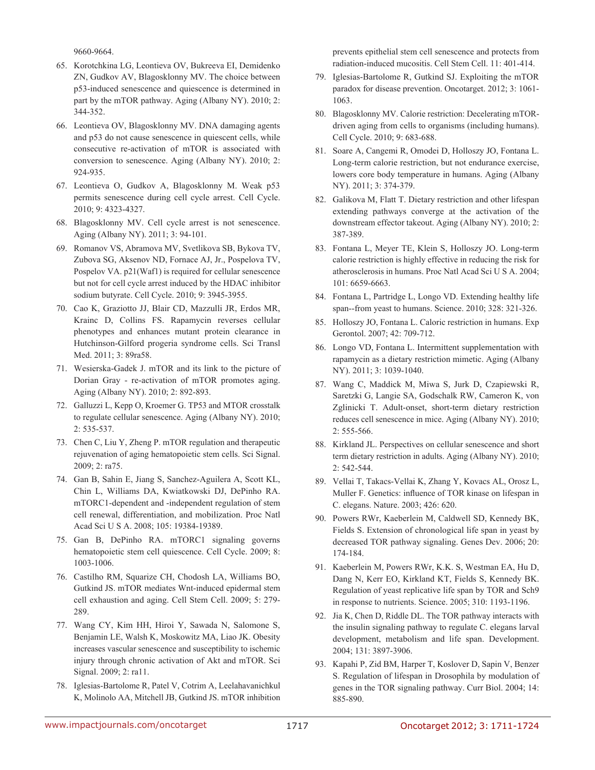9660-9664.

- 65. Korotchkina LG, Leontieva OV, Bukreeva EI, Demidenko ZN, Gudkov AV, Blagosklonny MV. The choice between p53-induced senescence and quiescence is determined in part by the mTOR pathway. Aging (Albany NY). 2010; 2: 344-352.
- 66. Leontieva OV, Blagosklonny MV. DNA damaging agents and p53 do not cause senescence in quiescent cells, while consecutive re-activation of mTOR is associated with conversion to senescence. Aging (Albany NY). 2010; 2: 924-935.
- 67. Leontieva O, Gudkov A, Blagosklonny M. Weak p53 permits senescence during cell cycle arrest. Cell Cycle. 2010; 9: 4323-4327.
- 68. Blagosklonny MV. Cell cycle arrest is not senescence. Aging (Albany NY). 2011; 3: 94-101.
- 69. Romanov VS, Abramova MV, Svetlikova SB, Bykova TV, Zubova SG, Aksenov ND, Fornace AJ, Jr., Pospelova TV, Pospelov VA. p21(Waf1) is required for cellular senescence but not for cell cycle arrest induced by the HDAC inhibitor sodium butyrate. Cell Cycle. 2010; 9: 3945-3955.
- 70. Cao K, Graziotto JJ, Blair CD, Mazzulli JR, Erdos MR, Krainc D, Collins FS. Rapamycin reverses cellular phenotypes and enhances mutant protein clearance in Hutchinson-Gilford progeria syndrome cells. Sci Transl Med. 2011; 3: 89ra58.
- 71. Wesierska-Gadek J. mTOR and its link to the picture of Dorian Gray - re-activation of mTOR promotes aging. Aging (Albany NY). 2010; 2: 892-893.
- 72. Galluzzi L, Kepp O, Kroemer G. TP53 and MTOR crosstalk to regulate cellular senescence. Aging (Albany NY). 2010; 2: 535-537.
- 73. Chen C, Liu Y, Zheng P. mTOR regulation and therapeutic rejuvenation of aging hematopoietic stem cells. Sci Signal. 2009; 2: ra75.
- 74. Gan B, Sahin E, Jiang S, Sanchez-Aguilera A, Scott KL, Chin L, Williams DA, Kwiatkowski DJ, DePinho RA. mTORC1-dependent and -independent regulation of stem cell renewal, differentiation, and mobilization. Proc Natl Acad Sci U S A. 2008; 105: 19384-19389.
- 75. Gan B, DePinho RA. mTORC1 signaling governs hematopoietic stem cell quiescence. Cell Cycle. 2009; 8: 1003-1006.
- 76. Castilho RM, Squarize CH, Chodosh LA, Williams BO, Gutkind JS. mTOR mediates Wnt-induced epidermal stem cell exhaustion and aging. Cell Stem Cell. 2009; 5: 279- 289.
- 77. Wang CY, Kim HH, Hiroi Y, Sawada N, Salomone S, Benjamin LE, Walsh K, Moskowitz MA, Liao JK. Obesity increases vascular senescence and susceptibility to ischemic injury through chronic activation of Akt and mTOR. Sci Signal. 2009; 2: ra11.
- 78. Iglesias-Bartolome R, Patel V, Cotrim A, Leelahavanichkul K, Molinolo AA, Mitchell JB, Gutkind JS. mTOR inhibition

prevents epithelial stem cell senescence and protects from radiation-induced mucositis. Cell Stem Cell. 11: 401-414.

- 79. Iglesias-Bartolome R, Gutkind SJ. Exploiting the mTOR paradox for disease prevention. Oncotarget. 2012; 3: 1061- 1063.
- 80. Blagosklonny MV. Calorie restriction: Decelerating mTORdriven aging from cells to organisms (including humans). Cell Cycle. 2010; 9: 683-688.
- 81. Soare A, Cangemi R, Omodei D, Holloszy JO, Fontana L. Long-term calorie restriction, but not endurance exercise, lowers core body temperature in humans. Aging (Albany NY). 2011; 3: 374-379.
- 82. Galikova M, Flatt T. Dietary restriction and other lifespan extending pathways converge at the activation of the downstream effector takeout. Aging (Albany NY). 2010; 2: 387-389.
- 83. Fontana L, Meyer TE, Klein S, Holloszy JO. Long-term calorie restriction is highly effective in reducing the risk for atherosclerosis in humans. Proc Natl Acad Sci U S A. 2004; 101: 6659-6663.
- 84. Fontana L, Partridge L, Longo VD. Extending healthy life span--from yeast to humans. Science. 2010; 328: 321-326.
- 85. Holloszy JO, Fontana L. Caloric restriction in humans. Exp Gerontol. 2007; 42: 709-712.
- 86. Longo VD, Fontana L. Intermittent supplementation with rapamycin as a dietary restriction mimetic. Aging (Albany NY). 2011; 3: 1039-1040.
- 87. Wang C, Maddick M, Miwa S, Jurk D, Czapiewski R, Saretzki G, Langie SA, Godschalk RW, Cameron K, von Zglinicki T. Adult-onset, short-term dietary restriction reduces cell senescence in mice. Aging (Albany NY). 2010; 2: 555-566.
- 88. Kirkland JL. Perspectives on cellular senescence and short term dietary restriction in adults. Aging (Albany NY). 2010; 2: 542-544.
- 89. Vellai T, Takacs-Vellai K, Zhang Y, Kovacs AL, Orosz L, Muller F. Genetics: influence of TOR kinase on lifespan in C. elegans. Nature. 2003; 426: 620.
- 90. Powers RWr, Kaeberlein M, Caldwell SD, Kennedy BK, Fields S. Extension of chronological life span in yeast by decreased TOR pathway signaling. Genes Dev. 2006; 20: 174-184.
- 91. Kaeberlein M, Powers RWr, K.K. S, Westman EA, Hu D, Dang N, Kerr EO, Kirkland KT, Fields S, Kennedy BK. Regulation of yeast replicative life span by TOR and Sch9 in response to nutrients. Science. 2005; 310: 1193-1196.
- 92. Jia K, Chen D, Riddle DL. The TOR pathway interacts with the insulin signaling pathway to regulate C. elegans larval development, metabolism and life span. Development. 2004; 131: 3897-3906.
- 93. Kapahi P, Zid BM, Harper T, Koslover D, Sapin V, Benzer S. Regulation of lifespan in Drosophila by modulation of genes in the TOR signaling pathway. Curr Biol. 2004; 14: 885-890.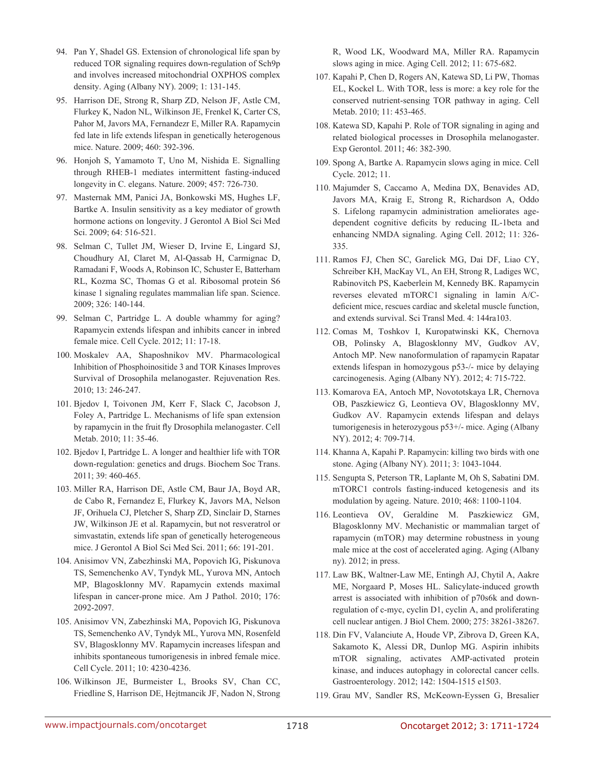- 94. Pan Y, Shadel GS. Extension of chronological life span by reduced TOR signaling requires down-regulation of Sch9p and involves increased mitochondrial OXPHOS complex density. Aging (Albany NY). 2009; 1: 131-145.
- 95. Harrison DE, Strong R, Sharp ZD, Nelson JF, Astle CM, Flurkey K, Nadon NL, Wilkinson JE, Frenkel K, Carter CS, Pahor M, Javors MA, Fernandezr E, Miller RA. Rapamycin fed late in life extends lifespan in genetically heterogenous mice. Nature. 2009; 460: 392-396.
- 96. Honjoh S, Yamamoto T, Uno M, Nishida E. Signalling through RHEB-1 mediates intermittent fasting-induced longevity in C. elegans. Nature. 2009; 457: 726-730.
- 97. Masternak MM, Panici JA, Bonkowski MS, Hughes LF, Bartke A. Insulin sensitivity as a key mediator of growth hormone actions on longevity. J Gerontol A Biol Sci Med Sci. 2009; 64: 516-521.
- 98. Selman C, Tullet JM, Wieser D, Irvine E, Lingard SJ, Choudhury AI, Claret M, Al-Qassab H, Carmignac D, Ramadani F, Woods A, Robinson IC, Schuster E, Batterham RL, Kozma SC, Thomas G et al. Ribosomal protein S6 kinase 1 signaling regulates mammalian life span. Science. 2009; 326: 140-144.
- 99. Selman C, Partridge L. A double whammy for aging? Rapamycin extends lifespan and inhibits cancer in inbred female mice. Cell Cycle. 2012; 11: 17-18.
- 100. Moskalev AA, Shaposhnikov MV. Pharmacological Inhibition of Phosphoinositide 3 and TOR Kinases Improves Survival of Drosophila melanogaster. Rejuvenation Res. 2010; 13: 246-247.
- 101. Bjedov I, Toivonen JM, Kerr F, Slack C, Jacobson J, Foley A, Partridge L. Mechanisms of life span extension by rapamycin in the fruit fly Drosophila melanogaster. Cell Metab. 2010; 11: 35-46.
- 102. Bjedov I, Partridge L. A longer and healthier life with TOR down-regulation: genetics and drugs. Biochem Soc Trans. 2011; 39: 460-465.
- 103. Miller RA, Harrison DE, Astle CM, Baur JA, Boyd AR, de Cabo R, Fernandez E, Flurkey K, Javors MA, Nelson JF, Orihuela CJ, Pletcher S, Sharp ZD, Sinclair D, Starnes JW, Wilkinson JE et al. Rapamycin, but not resveratrol or simvastatin, extends life span of genetically heterogeneous mice. J Gerontol A Biol Sci Med Sci. 2011; 66: 191-201.
- 104. Anisimov VN, Zabezhinski MA, Popovich IG, Piskunova TS, Semenchenko AV, Tyndyk ML, Yurova MN, Antoch MP, Blagosklonny MV. Rapamycin extends maximal lifespan in cancer-prone mice. Am J Pathol. 2010; 176: 2092-2097.
- 105. Anisimov VN, Zabezhinski MA, Popovich IG, Piskunova TS, Semenchenko AV, Tyndyk ML, Yurova MN, Rosenfeld SV, Blagosklonny MV. Rapamycin increases lifespan and inhibits spontaneous tumorigenesis in inbred female mice. Cell Cycle. 2011; 10: 4230-4236.
- 106. Wilkinson JE, Burmeister L, Brooks SV, Chan CC, Friedline S, Harrison DE, Hejtmancik JF, Nadon N, Strong

R, Wood LK, Woodward MA, Miller RA. Rapamycin slows aging in mice. Aging Cell. 2012; 11: 675-682.

- 107. Kapahi P, Chen D, Rogers AN, Katewa SD, Li PW, Thomas EL, Kockel L. With TOR, less is more: a key role for the conserved nutrient-sensing TOR pathway in aging. Cell Metab. 2010; 11: 453-465.
- 108. Katewa SD, Kapahi P. Role of TOR signaling in aging and related biological processes in Drosophila melanogaster. Exp Gerontol. 2011; 46: 382-390.
- 109. Spong A, Bartke A. Rapamycin slows aging in mice. Cell Cycle. 2012; 11.
- 110. Majumder S, Caccamo A, Medina DX, Benavides AD, Javors MA, Kraig E, Strong R, Richardson A, Oddo S. Lifelong rapamycin administration ameliorates agedependent cognitive deficits by reducing IL-1beta and enhancing NMDA signaling. Aging Cell. 2012; 11: 326- 335.
- 111. Ramos FJ, Chen SC, Garelick MG, Dai DF, Liao CY, Schreiber KH, MacKay VL, An EH, Strong R, Ladiges WC, Rabinovitch PS, Kaeberlein M, Kennedy BK. Rapamycin reverses elevated mTORC1 signaling in lamin A/Cdeficient mice, rescues cardiac and skeletal muscle function, and extends survival. Sci Transl Med. 4: 144ra103.
- 112. Comas M, Toshkov I, Kuropatwinski KK, Chernova OB, Polinsky A, Blagosklonny MV, Gudkov AV, Antoch MP. New nanoformulation of rapamycin Rapatar extends lifespan in homozygous p53-/- mice by delaying carcinogenesis. Aging (Albany NY). 2012; 4: 715-722.
- 113. Komarova EA, Antoch MP, Novototskaya LR, Chernova OB, Paszkiewicz G, Leontieva OV, Blagosklonny MV, Gudkov AV. Rapamycin extends lifespan and delays tumorigenesis in heterozygous p53+/- mice. Aging (Albany NY). 2012; 4: 709-714.
- 114. Khanna A, Kapahi P. Rapamycin: killing two birds with one stone. Aging (Albany NY). 2011; 3: 1043-1044.
- 115. Sengupta S, Peterson TR, Laplante M, Oh S, Sabatini DM. mTORC1 controls fasting-induced ketogenesis and its modulation by ageing. Nature. 2010; 468: 1100-1104.
- 116. Leontieva OV, Geraldine M. Paszkiewicz GM, Blagosklonny MV. Mechanistic or mammalian target of rapamycin (mTOR) may determine robustness in young male mice at the cost of accelerated aging. Aging (Albany ny). 2012; in press.
- 117. Law BK, Waltner-Law ME, Entingh AJ, Chytil A, Aakre ME, Norgaard P, Moses HL. Salicylate-induced growth arrest is associated with inhibition of p70s6k and downregulation of c-myc, cyclin D1, cyclin A, and proliferating cell nuclear antigen. J Biol Chem. 2000; 275: 38261-38267.
- 118. Din FV, Valanciute A, Houde VP, Zibrova D, Green KA, Sakamoto K, Alessi DR, Dunlop MG. Aspirin inhibits mTOR signaling, activates AMP-activated protein kinase, and induces autophagy in colorectal cancer cells. Gastroenterology. 2012; 142: 1504-1515 e1503.
- 119. Grau MV, Sandler RS, McKeown-Eyssen G, Bresalier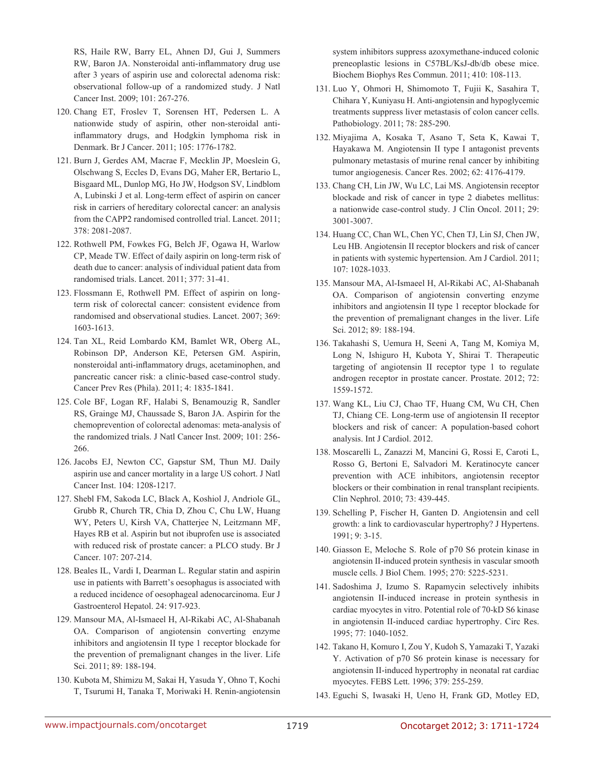RS, Haile RW, Barry EL, Ahnen DJ, Gui J, Summers RW, Baron JA. Nonsteroidal anti-inflammatory drug use after 3 years of aspirin use and colorectal adenoma risk: observational follow-up of a randomized study. J Natl Cancer Inst. 2009; 101: 267-276.

- 120. Chang ET, Froslev T, Sorensen HT, Pedersen L. A nationwide study of aspirin, other non-steroidal antiinflammatory drugs, and Hodgkin lymphoma risk in Denmark. Br J Cancer. 2011; 105: 1776-1782.
- 121. Burn J, Gerdes AM, Macrae F, Mecklin JP, Moeslein G, Olschwang S, Eccles D, Evans DG, Maher ER, Bertario L, Bisgaard ML, Dunlop MG, Ho JW, Hodgson SV, Lindblom A, Lubinski J et al. Long-term effect of aspirin on cancer risk in carriers of hereditary colorectal cancer: an analysis from the CAPP2 randomised controlled trial. Lancet. 2011; 378: 2081-2087.
- 122. Rothwell PM, Fowkes FG, Belch JF, Ogawa H, Warlow CP, Meade TW. Effect of daily aspirin on long-term risk of death due to cancer: analysis of individual patient data from randomised trials. Lancet. 2011; 377: 31-41.
- 123. Flossmann E, Rothwell PM. Effect of aspirin on longterm risk of colorectal cancer: consistent evidence from randomised and observational studies. Lancet. 2007; 369: 1603-1613.
- 124. Tan XL, Reid Lombardo KM, Bamlet WR, Oberg AL, Robinson DP, Anderson KE, Petersen GM. Aspirin, nonsteroidal anti-inflammatory drugs, acetaminophen, and pancreatic cancer risk: a clinic-based case-control study. Cancer Prev Res (Phila). 2011; 4: 1835-1841.
- 125. Cole BF, Logan RF, Halabi S, Benamouzig R, Sandler RS, Grainge MJ, Chaussade S, Baron JA. Aspirin for the chemoprevention of colorectal adenomas: meta-analysis of the randomized trials. J Natl Cancer Inst. 2009; 101: 256- 266.
- 126. Jacobs EJ, Newton CC, Gapstur SM, Thun MJ. Daily aspirin use and cancer mortality in a large US cohort. J Natl Cancer Inst. 104: 1208-1217.
- 127. Shebl FM, Sakoda LC, Black A, Koshiol J, Andriole GL, Grubb R, Church TR, Chia D, Zhou C, Chu LW, Huang WY, Peters U, Kirsh VA, Chatterjee N, Leitzmann MF, Hayes RB et al. Aspirin but not ibuprofen use is associated with reduced risk of prostate cancer: a PLCO study. Br J Cancer. 107: 207-214.
- 128. Beales IL, Vardi I, Dearman L. Regular statin and aspirin use in patients with Barrett's oesophagus is associated with a reduced incidence of oesophageal adenocarcinoma. Eur J Gastroenterol Hepatol. 24: 917-923.
- 129. Mansour MA, Al-Ismaeel H, Al-Rikabi AC, Al-Shabanah OA. Comparison of angiotensin converting enzyme inhibitors and angiotensin II type 1 receptor blockade for the prevention of premalignant changes in the liver. Life Sci. 2011; 89: 188-194.
- 130. Kubota M, Shimizu M, Sakai H, Yasuda Y, Ohno T, Kochi T, Tsurumi H, Tanaka T, Moriwaki H. Renin-angiotensin

system inhibitors suppress azoxymethane-induced colonic preneoplastic lesions in C57BL/KsJ-db/db obese mice. Biochem Biophys Res Commun. 2011; 410: 108-113.

- 131. Luo Y, Ohmori H, Shimomoto T, Fujii K, Sasahira T, Chihara Y, Kuniyasu H. Anti-angiotensin and hypoglycemic treatments suppress liver metastasis of colon cancer cells. Pathobiology. 2011; 78: 285-290.
- 132. Miyajima A, Kosaka T, Asano T, Seta K, Kawai T, Hayakawa M. Angiotensin II type I antagonist prevents pulmonary metastasis of murine renal cancer by inhibiting tumor angiogenesis. Cancer Res. 2002; 62: 4176-4179.
- 133. Chang CH, Lin JW, Wu LC, Lai MS. Angiotensin receptor blockade and risk of cancer in type 2 diabetes mellitus: a nationwide case-control study. J Clin Oncol. 2011; 29: 3001-3007.
- 134. Huang CC, Chan WL, Chen YC, Chen TJ, Lin SJ, Chen JW, Leu HB. Angiotensin II receptor blockers and risk of cancer in patients with systemic hypertension. Am J Cardiol. 2011; 107: 1028-1033.
- 135. Mansour MA, Al-Ismaeel H, Al-Rikabi AC, Al-Shabanah OA. Comparison of angiotensin converting enzyme inhibitors and angiotensin II type 1 receptor blockade for the prevention of premalignant changes in the liver. Life Sci. 2012; 89: 188-194.
- 136. Takahashi S, Uemura H, Seeni A, Tang M, Komiya M, Long N, Ishiguro H, Kubota Y, Shirai T. Therapeutic targeting of angiotensin II receptor type 1 to regulate androgen receptor in prostate cancer. Prostate. 2012; 72: 1559-1572.
- 137. Wang KL, Liu CJ, Chao TF, Huang CM, Wu CH, Chen TJ, Chiang CE. Long-term use of angiotensin II receptor blockers and risk of cancer: A population-based cohort analysis. Int J Cardiol. 2012.
- 138. Moscarelli L, Zanazzi M, Mancini G, Rossi E, Caroti L, Rosso G, Bertoni E, Salvadori M. Keratinocyte cancer prevention with ACE inhibitors, angiotensin receptor blockers or their combination in renal transplant recipients. Clin Nephrol. 2010; 73: 439-445.
- 139. Schelling P, Fischer H, Ganten D. Angiotensin and cell growth: a link to cardiovascular hypertrophy? J Hypertens. 1991; 9: 3-15.
- 140. Giasson E, Meloche S. Role of p70 S6 protein kinase in angiotensin II-induced protein synthesis in vascular smooth muscle cells. J Biol Chem. 1995; 270: 5225-5231.
- 141. Sadoshima J, Izumo S. Rapamycin selectively inhibits angiotensin II-induced increase in protein synthesis in cardiac myocytes in vitro. Potential role of 70-kD S6 kinase in angiotensin II-induced cardiac hypertrophy. Circ Res. 1995; 77: 1040-1052.
- 142. Takano H, Komuro I, Zou Y, Kudoh S, Yamazaki T, Yazaki Y. Activation of p70 S6 protein kinase is necessary for angiotensin II-induced hypertrophy in neonatal rat cardiac myocytes. FEBS Lett. 1996; 379: 255-259.
- 143. Eguchi S, Iwasaki H, Ueno H, Frank GD, Motley ED,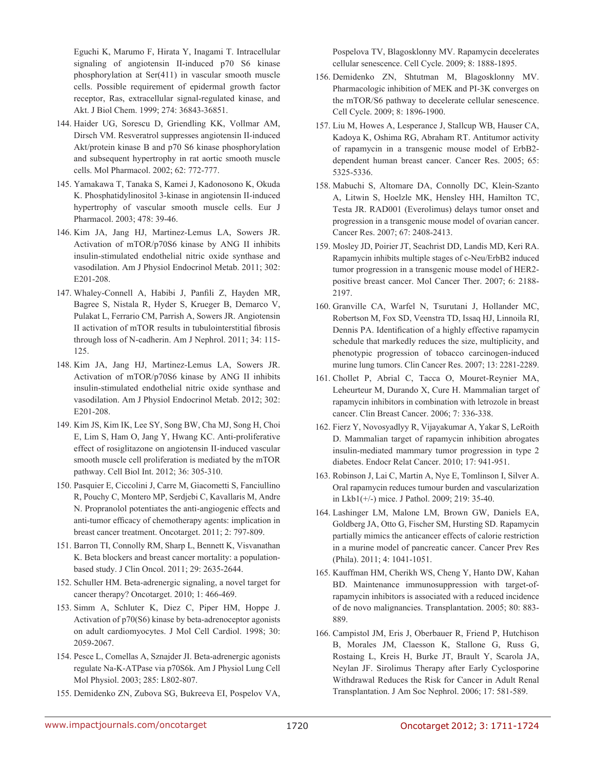Eguchi K, Marumo F, Hirata Y, Inagami T. Intracellular signaling of angiotensin II-induced p70 S6 kinase phosphorylation at Ser(411) in vascular smooth muscle cells. Possible requirement of epidermal growth factor receptor, Ras, extracellular signal-regulated kinase, and Akt. J Biol Chem. 1999; 274: 36843-36851.

- 144. Haider UG, Sorescu D, Griendling KK, Vollmar AM, Dirsch VM. Resveratrol suppresses angiotensin II-induced Akt/protein kinase B and p70 S6 kinase phosphorylation and subsequent hypertrophy in rat aortic smooth muscle cells. Mol Pharmacol. 2002; 62: 772-777.
- 145. Yamakawa T, Tanaka S, Kamei J, Kadonosono K, Okuda K. Phosphatidylinositol 3-kinase in angiotensin II-induced hypertrophy of vascular smooth muscle cells. Eur J Pharmacol. 2003; 478: 39-46.
- 146. Kim JA, Jang HJ, Martinez-Lemus LA, Sowers JR. Activation of mTOR/p70S6 kinase by ANG II inhibits insulin-stimulated endothelial nitric oxide synthase and vasodilation. Am J Physiol Endocrinol Metab. 2011; 302: E201-208.
- 147. Whaley-Connell A, Habibi J, Panfili Z, Hayden MR, Bagree S, Nistala R, Hyder S, Krueger B, Demarco V, Pulakat L, Ferrario CM, Parrish A, Sowers JR. Angiotensin II activation of mTOR results in tubulointerstitial fibrosis through loss of N-cadherin. Am J Nephrol. 2011; 34: 115- 125.
- 148. Kim JA, Jang HJ, Martinez-Lemus LA, Sowers JR. Activation of mTOR/p70S6 kinase by ANG II inhibits insulin-stimulated endothelial nitric oxide synthase and vasodilation. Am J Physiol Endocrinol Metab. 2012; 302: E201-208.
- 149. Kim JS, Kim IK, Lee SY, Song BW, Cha MJ, Song H, Choi E, Lim S, Ham O, Jang Y, Hwang KC. Anti-proliferative effect of rosiglitazone on angiotensin II-induced vascular smooth muscle cell proliferation is mediated by the mTOR pathway. Cell Biol Int. 2012; 36: 305-310.
- 150. Pasquier E, Ciccolini J, Carre M, Giacometti S, Fanciullino R, Pouchy C, Montero MP, Serdjebi C, Kavallaris M, Andre N. Propranolol potentiates the anti-angiogenic effects and anti-tumor efficacy of chemotherapy agents: implication in breast cancer treatment. Oncotarget. 2011; 2: 797-809.
- 151. Barron TI, Connolly RM, Sharp L, Bennett K, Visvanathan K. Beta blockers and breast cancer mortality: a populationbased study. J Clin Oncol. 2011; 29: 2635-2644.
- 152. Schuller HM. Beta-adrenergic signaling, a novel target for cancer therapy? Oncotarget. 2010; 1: 466-469.
- 153. Simm A, Schluter K, Diez C, Piper HM, Hoppe J. Activation of p70(S6) kinase by beta-adrenoceptor agonists on adult cardiomyocytes. J Mol Cell Cardiol. 1998; 30: 2059-2067.
- 154. Pesce L, Comellas A, Sznajder JI. Beta-adrenergic agonists regulate Na-K-ATPase via p70S6k. Am J Physiol Lung Cell Mol Physiol. 2003; 285: L802-807.
- 155. Demidenko ZN, Zubova SG, Bukreeva EI, Pospelov VA,

Pospelova TV, Blagosklonny MV. Rapamycin decelerates cellular senescence. Cell Cycle. 2009; 8: 1888-1895.

- 156. Demidenko ZN, Shtutman M, Blagosklonny MV. Pharmacologic inhibition of MEK and PI-3K converges on the mTOR/S6 pathway to decelerate cellular senescence. Cell Cycle. 2009; 8: 1896-1900.
- 157. Liu M, Howes A, Lesperance J, Stallcup WB, Hauser CA, Kadoya K, Oshima RG, Abraham RT. Antitumor activity of rapamycin in a transgenic mouse model of ErbB2 dependent human breast cancer. Cancer Res. 2005; 65: 5325-5336.
- 158. Mabuchi S, Altomare DA, Connolly DC, Klein-Szanto A, Litwin S, Hoelzle MK, Hensley HH, Hamilton TC, Testa JR. RAD001 (Everolimus) delays tumor onset and progression in a transgenic mouse model of ovarian cancer. Cancer Res. 2007; 67: 2408-2413.
- 159. Mosley JD, Poirier JT, Seachrist DD, Landis MD, Keri RA. Rapamycin inhibits multiple stages of c-Neu/ErbB2 induced tumor progression in a transgenic mouse model of HER2 positive breast cancer. Mol Cancer Ther. 2007; 6: 2188- 2197.
- 160. Granville CA, Warfel N, Tsurutani J, Hollander MC, Robertson M, Fox SD, Veenstra TD, Issaq HJ, Linnoila RI, Dennis PA. Identification of a highly effective rapamycin schedule that markedly reduces the size, multiplicity, and phenotypic progression of tobacco carcinogen-induced murine lung tumors. Clin Cancer Res. 2007; 13: 2281-2289.
- 161. Chollet P, Abrial C, Tacca O, Mouret-Reynier MA, Leheurteur M, Durando X, Cure H. Mammalian target of rapamycin inhibitors in combination with letrozole in breast cancer. Clin Breast Cancer. 2006; 7: 336-338.
- 162. Fierz Y, Novosyadlyy R, Vijayakumar A, Yakar S, LeRoith D. Mammalian target of rapamycin inhibition abrogates insulin-mediated mammary tumor progression in type 2 diabetes. Endocr Relat Cancer. 2010; 17: 941-951.
- 163. Robinson J, Lai C, Martin A, Nye E, Tomlinson I, Silver A. Oral rapamycin reduces tumour burden and vascularization in Lkb1(+/-) mice. J Pathol. 2009; 219: 35-40.
- 164. Lashinger LM, Malone LM, Brown GW, Daniels EA, Goldberg JA, Otto G, Fischer SM, Hursting SD. Rapamycin partially mimics the anticancer effects of calorie restriction in a murine model of pancreatic cancer. Cancer Prev Res (Phila). 2011; 4: 1041-1051.
- 165. Kauffman HM, Cherikh WS, Cheng Y, Hanto DW, Kahan BD. Maintenance immunosuppression with target-ofrapamycin inhibitors is associated with a reduced incidence of de novo malignancies. Transplantation. 2005; 80: 883- 889.
- 166. Campistol JM, Eris J, Oberbauer R, Friend P, Hutchison B, Morales JM, Claesson K, Stallone G, Russ G, Rostaing L, Kreis H, Burke JT, Brault Y, Scarola JA, Neylan JF. Sirolimus Therapy after Early Cyclosporine Withdrawal Reduces the Risk for Cancer in Adult Renal Transplantation. J Am Soc Nephrol. 2006; 17: 581-589.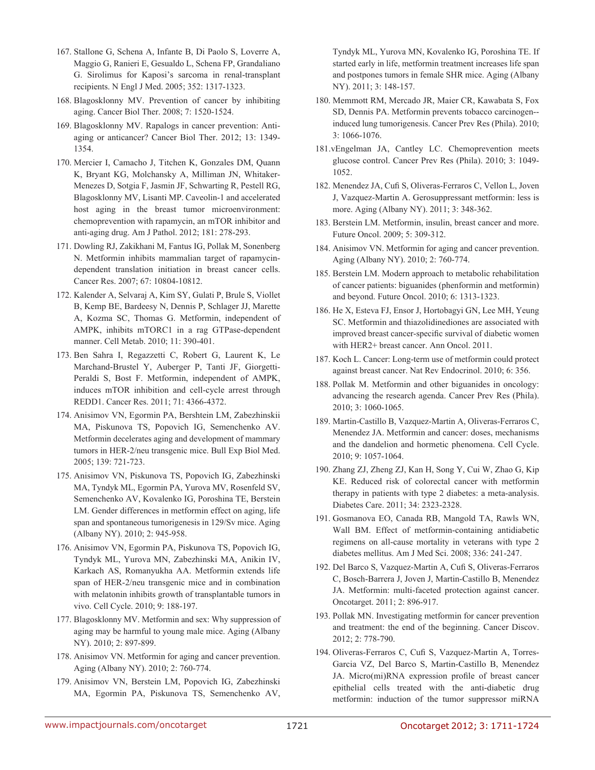- 167. Stallone G, Schena A, Infante B, Di Paolo S, Loverre A, Maggio G, Ranieri E, Gesualdo L, Schena FP, Grandaliano G. Sirolimus for Kaposi's sarcoma in renal-transplant recipients. N Engl J Med. 2005; 352: 1317-1323.
- 168. Blagosklonny MV. Prevention of cancer by inhibiting aging. Cancer Biol Ther. 2008; 7: 1520-1524.
- 169. Blagosklonny MV. Rapalogs in cancer prevention: Antiaging or anticancer? Cancer Biol Ther. 2012; 13: 1349- 1354.
- 170. Mercier I, Camacho J, Titchen K, Gonzales DM, Quann K, Bryant KG, Molchansky A, Milliman JN, Whitaker-Menezes D, Sotgia F, Jasmin JF, Schwarting R, Pestell RG, Blagosklonny MV, Lisanti MP. Caveolin-1 and accelerated host aging in the breast tumor microenvironment: chemoprevention with rapamycin, an mTOR inhibitor and anti-aging drug. Am J Pathol. 2012; 181: 278-293.
- 171. Dowling RJ, Zakikhani M, Fantus IG, Pollak M, Sonenberg N. Metformin inhibits mammalian target of rapamycindependent translation initiation in breast cancer cells. Cancer Res. 2007; 67: 10804-10812.
- 172. Kalender A, Selvaraj A, Kim SY, Gulati P, Brule S, Viollet B, Kemp BE, Bardeesy N, Dennis P, Schlager JJ, Marette A, Kozma SC, Thomas G. Metformin, independent of AMPK, inhibits mTORC1 in a rag GTPase-dependent manner. Cell Metab. 2010; 11: 390-401.
- 173. Ben Sahra I, Regazzetti C, Robert G, Laurent K, Le Marchand-Brustel Y, Auberger P, Tanti JF, Giorgetti-Peraldi S, Bost F. Metformin, independent of AMPK, induces mTOR inhibition and cell-cycle arrest through REDD1. Cancer Res. 2011; 71: 4366-4372.
- 174. Anisimov VN, Egormin PA, Bershtein LM, Zabezhinskii MA, Piskunova TS, Popovich IG, Semenchenko AV. Metformin decelerates aging and development of mammary tumors in HER-2/neu transgenic mice. Bull Exp Biol Med. 2005; 139: 721-723.
- 175. Anisimov VN, Piskunova TS, Popovich IG, Zabezhinski MA, Tyndyk ML, Egormin PA, Yurova MV, Rosenfeld SV, Semenchenko AV, Kovalenko IG, Poroshina TE, Berstein LM. Gender differences in metformin effect on aging, life span and spontaneous tumorigenesis in 129/Sv mice. Aging (Albany NY). 2010; 2: 945-958.
- 176. Anisimov VN, Egormin PA, Piskunova TS, Popovich IG, Tyndyk ML, Yurova MN, Zabezhinski MA, Anikin IV, Karkach AS, Romanyukha AA. Metformin extends life span of HER-2/neu transgenic mice and in combination with melatonin inhibits growth of transplantable tumors in vivo. Cell Cycle. 2010; 9: 188-197.
- 177. Blagosklonny MV. Metformin and sex: Why suppression of aging may be harmful to young male mice. Aging (Albany NY). 2010; 2: 897-899.
- 178. Anisimov VN. Metformin for aging and cancer prevention. Aging (Albany NY). 2010; 2: 760-774.
- 179. Anisimov VN, Berstein LM, Popovich IG, Zabezhinski MA, Egormin PA, Piskunova TS, Semenchenko AV,

Tyndyk ML, Yurova MN, Kovalenko IG, Poroshina TE. If started early in life, metformin treatment increases life span and postpones tumors in female SHR mice. Aging (Albany NY). 2011; 3: 148-157.

- 180. Memmott RM, Mercado JR, Maier CR, Kawabata S, Fox SD, Dennis PA. Metformin prevents tobacco carcinogen- induced lung tumorigenesis. Cancer Prev Res (Phila). 2010; 3: 1066-1076.
- 181.vEngelman JA, Cantley LC. Chemoprevention meets glucose control. Cancer Prev Res (Phila). 2010; 3: 1049- 1052.
- 182. Menendez JA, Cufi S, Oliveras-Ferraros C, Vellon L, Joven J, Vazquez-Martin A. Gerosuppressant metformin: less is more. Aging (Albany NY). 2011; 3: 348-362.
- 183. Berstein LM. Metformin, insulin, breast cancer and more. Future Oncol. 2009; 5: 309-312.
- 184. Anisimov VN. Metformin for aging and cancer prevention. Aging (Albany NY). 2010; 2: 760-774.
- 185. Berstein LM. Modern approach to metabolic rehabilitation of cancer patients: biguanides (phenformin and metformin) and beyond. Future Oncol. 2010; 6: 1313-1323.
- 186. He X, Esteva FJ, Ensor J, Hortobagyi GN, Lee MH, Yeung SC. Metformin and thiazolidinediones are associated with improved breast cancer-specific survival of diabetic women with HER2+ breast cancer. Ann Oncol. 2011.
- 187. Koch L. Cancer: Long-term use of metformin could protect against breast cancer. Nat Rev Endocrinol. 2010; 6: 356.
- 188. Pollak M. Metformin and other biguanides in oncology: advancing the research agenda. Cancer Prev Res (Phila). 2010; 3: 1060-1065.
- 189. Martin-Castillo B, Vazquez-Martin A, Oliveras-Ferraros C, Menendez JA. Metformin and cancer: doses, mechanisms and the dandelion and hormetic phenomena. Cell Cycle. 2010; 9: 1057-1064.
- 190. Zhang ZJ, Zheng ZJ, Kan H, Song Y, Cui W, Zhao G, Kip KE. Reduced risk of colorectal cancer with metformin therapy in patients with type 2 diabetes: a meta-analysis. Diabetes Care. 2011; 34: 2323-2328.
- 191. Gosmanova EO, Canada RB, Mangold TA, Rawls WN, Wall BM. Effect of metformin-containing antidiabetic regimens on all-cause mortality in veterans with type 2 diabetes mellitus. Am J Med Sci. 2008; 336: 241-247.
- 192. Del Barco S, Vazquez-Martin A, Cufi S, Oliveras-Ferraros C, Bosch-Barrera J, Joven J, Martin-Castillo B, Menendez JA. Metformin: multi-faceted protection against cancer. Oncotarget. 2011; 2: 896-917.
- 193. Pollak MN. Investigating metformin for cancer prevention and treatment: the end of the beginning. Cancer Discov. 2012; 2: 778-790.
- 194. Oliveras-Ferraros C, Cufi S, Vazquez-Martin A, Torres-Garcia VZ, Del Barco S, Martin-Castillo B, Menendez JA. Micro(mi)RNA expression profile of breast cancer epithelial cells treated with the anti-diabetic drug metformin: induction of the tumor suppressor miRNA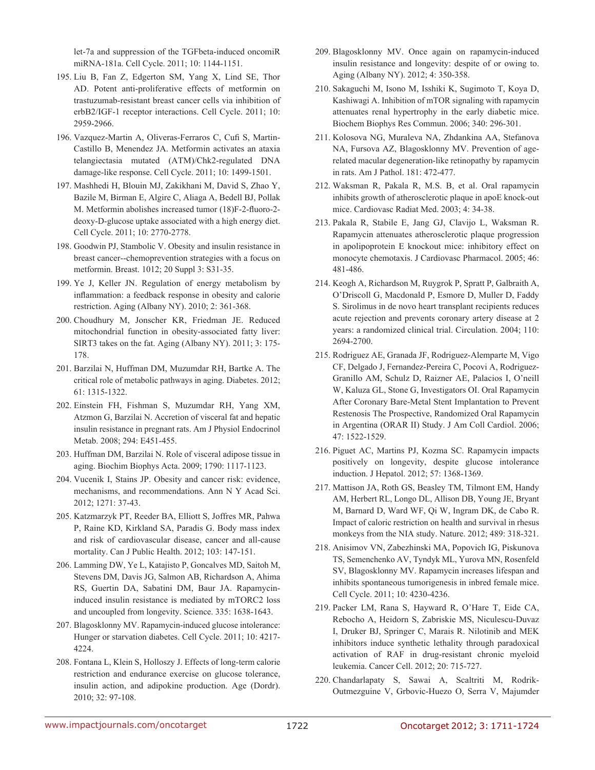let-7a and suppression of the TGFbeta-induced oncomiR miRNA-181a. Cell Cycle. 2011; 10: 1144-1151.

- 195. Liu B, Fan Z, Edgerton SM, Yang X, Lind SE, Thor AD. Potent anti-proliferative effects of metformin on trastuzumab-resistant breast cancer cells via inhibition of erbB2/IGF-1 receptor interactions. Cell Cycle. 2011; 10: 2959-2966.
- 196. Vazquez-Martin A, Oliveras-Ferraros C, Cufi S, Martin-Castillo B, Menendez JA. Metformin activates an ataxia telangiectasia mutated (ATM)/Chk2-regulated DNA damage-like response. Cell Cycle. 2011; 10: 1499-1501.
- 197. Mashhedi H, Blouin MJ, Zakikhani M, David S, Zhao Y, Bazile M, Birman E, Algire C, Aliaga A, Bedell BJ, Pollak M. Metformin abolishes increased tumor (18)F-2-fluoro-2 deoxy-D-glucose uptake associated with a high energy diet. Cell Cycle. 2011; 10: 2770-2778.
- 198. Goodwin PJ, Stambolic V. Obesity and insulin resistance in breast cancer--chemoprevention strategies with a focus on metformin. Breast. 1012; 20 Suppl 3: S31-35.
- 199. Ye J, Keller JN. Regulation of energy metabolism by inflammation: a feedback response in obesity and calorie restriction. Aging (Albany NY). 2010; 2: 361-368.
- 200. Choudhury M, Jonscher KR, Friedman JE. Reduced mitochondrial function in obesity-associated fatty liver: SIRT3 takes on the fat. Aging (Albany NY). 2011; 3: 175- 178.
- 201. Barzilai N, Huffman DM, Muzumdar RH, Bartke A. The critical role of metabolic pathways in aging. Diabetes. 2012; 61: 1315-1322.
- 202. Einstein FH, Fishman S, Muzumdar RH, Yang XM, Atzmon G, Barzilai N. Accretion of visceral fat and hepatic insulin resistance in pregnant rats. Am J Physiol Endocrinol Metab. 2008; 294: E451-455.
- 203. Huffman DM, Barzilai N. Role of visceral adipose tissue in aging. Biochim Biophys Acta. 2009; 1790: 1117-1123.
- 204. Vucenik I, Stains JP. Obesity and cancer risk: evidence, mechanisms, and recommendations. Ann N Y Acad Sci. 2012; 1271: 37-43.
- 205. Katzmarzyk PT, Reeder BA, Elliott S, Joffres MR, Pahwa P, Raine KD, Kirkland SA, Paradis G. Body mass index and risk of cardiovascular disease, cancer and all-cause mortality. Can J Public Health. 2012; 103: 147-151.
- 206. Lamming DW, Ye L, Katajisto P, Goncalves MD, Saitoh M, Stevens DM, Davis JG, Salmon AB, Richardson A, Ahima RS, Guertin DA, Sabatini DM, Baur JA. Rapamycininduced insulin resistance is mediated by mTORC2 loss and uncoupled from longevity. Science. 335: 1638-1643.
- 207. Blagosklonny MV. Rapamycin-induced glucose intolerance: Hunger or starvation diabetes. Cell Cycle. 2011; 10: 4217- 4224.
- 208. Fontana L, Klein S, Holloszy J. Effects of long-term calorie restriction and endurance exercise on glucose tolerance, insulin action, and adipokine production. Age (Dordr). 2010; 32: 97-108.
- 209. Blagosklonny MV. Once again on rapamycin-induced insulin resistance and longevity: despite of or owing to. Aging (Albany NY). 2012; 4: 350-358.
- 210. Sakaguchi M, Isono M, Isshiki K, Sugimoto T, Koya D, Kashiwagi A. Inhibition of mTOR signaling with rapamycin attenuates renal hypertrophy in the early diabetic mice. Biochem Biophys Res Commun. 2006; 340: 296-301.
- 211. Kolosova NG, Muraleva NA, Zhdankina AA, Stefanova NA, Fursova AZ, Blagosklonny MV. Prevention of agerelated macular degeneration-like retinopathy by rapamycin in rats. Am J Pathol. 181: 472-477.
- 212. Waksman R, Pakala R, M.S. B, et al. Oral rapamycin inhibits growth of atherosclerotic plaque in apoE knock-out mice. Cardiovasc Radiat Med. 2003; 4: 34-38.
- 213. Pakala R, Stabile E, Jang GJ, Clavijo L, Waksman R. Rapamycin attenuates atherosclerotic plaque progression in apolipoprotein E knockout mice: inhibitory effect on monocyte chemotaxis. J Cardiovasc Pharmacol. 2005; 46: 481-486.
- 214. Keogh A, Richardson M, Ruygrok P, Spratt P, Galbraith A, O'Driscoll G, Macdonald P, Esmore D, Muller D, Faddy S. Sirolimus in de novo heart transplant recipients reduces acute rejection and prevents coronary artery disease at 2 years: a randomized clinical trial. Circulation. 2004; 110: 2694-2700.
- 215. Rodriguez AE, Granada JF, Rodriguez-Alemparte M, Vigo CF, Delgado J, Fernandez-Pereira C, Pocovi A, Rodriguez-Granillo AM, Schulz D, Raizner AE, Palacios I, O'neill W, Kaluza GL, Stone G, Investigators OI. Oral Rapamycin After Coronary Bare-Metal Stent Implantation to Prevent Restenosis The Prospective, Randomized Oral Rapamycin in Argentina (ORAR II) Study. J Am Coll Cardiol. 2006; 47: 1522-1529.
- 216. Piguet AC, Martins PJ, Kozma SC. Rapamycin impacts positively on longevity, despite glucose intolerance induction. J Hepatol. 2012; 57: 1368-1369.
- 217. Mattison JA, Roth GS, Beasley TM, Tilmont EM, Handy AM, Herbert RL, Longo DL, Allison DB, Young JE, Bryant M, Barnard D, Ward WF, Qi W, Ingram DK, de Cabo R. Impact of caloric restriction on health and survival in rhesus monkeys from the NIA study. Nature. 2012; 489: 318-321.
- 218. Anisimov VN, Zabezhinski MA, Popovich IG, Piskunova TS, Semenchenko AV, Tyndyk ML, Yurova MN, Rosenfeld SV, Blagosklonny MV. Rapamycin increases lifespan and inhibits spontaneous tumorigenesis in inbred female mice. Cell Cycle. 2011; 10: 4230-4236.
- 219. Packer LM, Rana S, Hayward R, O'Hare T, Eide CA, Rebocho A, Heidorn S, Zabriskie MS, Niculescu-Duvaz I, Druker BJ, Springer C, Marais R. Nilotinib and MEK inhibitors induce synthetic lethality through paradoxical activation of RAF in drug-resistant chronic myeloid leukemia. Cancer Cell. 2012; 20: 715-727.
- 220. Chandarlapaty S, Sawai A, Scaltriti M, Rodrik-Outmezguine V, Grbovic-Huezo O, Serra V, Majumder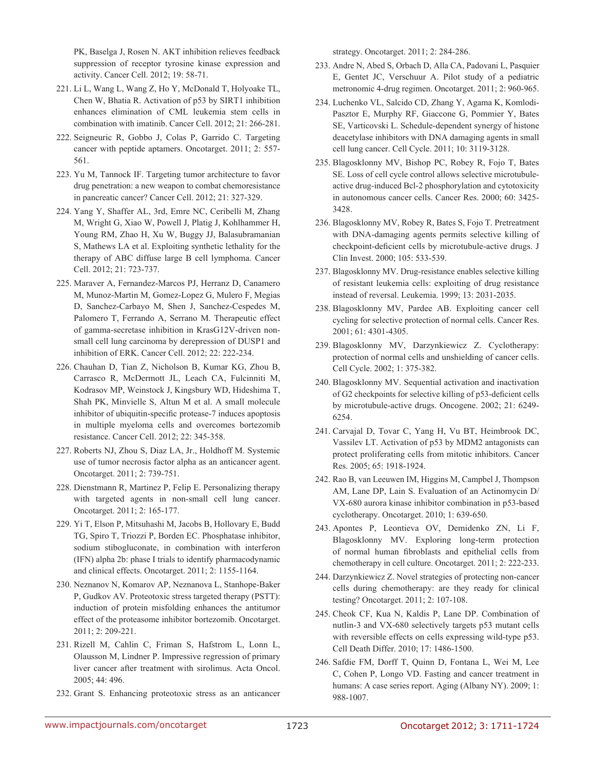PK, Baselga J, Rosen N. AKT inhibition relieves feedback suppression of receptor tyrosine kinase expression and activity. Cancer Cell. 2012; 19: 58-71.

- 221. Li L, Wang L, Wang Z, Ho Y, McDonald T, Holyoake TL, Chen W, Bhatia R. Activation of p53 by SIRT1 inhibition enhances elimination of CML leukemia stem cells in combination with imatinib. Cancer Cell. 2012; 21: 266-281.
- 222. Seigneuric R, Gobbo J, Colas P, Garrido C. Targeting cancer with peptide aptamers. Oncotarget. 2011; 2: 557- 561.
- 223. Yu M, Tannock IF. Targeting tumor architecture to favor drug penetration: a new weapon to combat chemoresistance in pancreatic cancer? Cancer Cell. 2012; 21: 327-329.
- 224. Yang Y, Shaffer AL, 3rd, Emre NC, Ceribelli M, Zhang M, Wright G, Xiao W, Powell J, Platig J, Kohlhammer H, Young RM, Zhao H, Xu W, Buggy JJ, Balasubramanian S, Mathews LA et al. Exploiting synthetic lethality for the therapy of ABC diffuse large B cell lymphoma. Cancer Cell. 2012; 21: 723-737.
- 225. Maraver A, Fernandez-Marcos PJ, Herranz D, Canamero M, Munoz-Martin M, Gomez-Lopez G, Mulero F, Megias D, Sanchez-Carbayo M, Shen J, Sanchez-Cespedes M, Palomero T, Ferrando A, Serrano M. Therapeutic effect of gamma-secretase inhibition in KrasG12V-driven nonsmall cell lung carcinoma by derepression of DUSP1 and inhibition of ERK. Cancer Cell. 2012; 22: 222-234.
- 226. Chauhan D, Tian Z, Nicholson B, Kumar KG, Zhou B, Carrasco R, McDermott JL, Leach CA, Fulcinniti M, Kodrasov MP, Weinstock J, Kingsbury WD, Hideshima T, Shah PK, Minvielle S, Altun M et al. A small molecule inhibitor of ubiquitin-specific protease-7 induces apoptosis in multiple myeloma cells and overcomes bortezomib resistance. Cancer Cell. 2012; 22: 345-358.
- 227. Roberts NJ, Zhou S, Diaz LA, Jr., Holdhoff M. Systemic use of tumor necrosis factor alpha as an anticancer agent. Oncotarget. 2011; 2: 739-751.
- 228. Dienstmann R, Martinez P, Felip E. Personalizing therapy with targeted agents in non-small cell lung cancer. Oncotarget. 2011; 2: 165-177.
- 229. Yi T, Elson P, Mitsuhashi M, Jacobs B, Hollovary E, Budd TG, Spiro T, Triozzi P, Borden EC. Phosphatase inhibitor, sodium stibogluconate, in combination with interferon (IFN) alpha 2b: phase I trials to identify pharmacodynamic and clinical effects. Oncotarget. 2011; 2: 1155-1164.
- 230. Neznanov N, Komarov AP, Neznanova L, Stanhope-Baker P, Gudkov AV. Proteotoxic stress targeted therapy (PSTT): induction of protein misfolding enhances the antitumor effect of the proteasome inhibitor bortezomib. Oncotarget. 2011; 2: 209-221.
- 231. Rizell M, Cahlin C, Friman S, Hafstrom L, Lonn L, Olausson M, Lindner P. Impressive regression of primary liver cancer after treatment with sirolimus. Acta Oncol. 2005; 44: 496.
- 232. Grant S. Enhancing proteotoxic stress as an anticancer

strategy. Oncotarget. 2011; 2: 284-286.

- 233. Andre N, Abed S, Orbach D, Alla CA, Padovani L, Pasquier E, Gentet JC, Verschuur A. Pilot study of a pediatric metronomic 4-drug regimen. Oncotarget. 2011; 2: 960-965.
- 234. Luchenko VL, Salcido CD, Zhang Y, Agama K, Komlodi-Pasztor E, Murphy RF, Giaccone G, Pommier Y, Bates SE, Varticovski L. Schedule-dependent synergy of histone deacetylase inhibitors with DNA damaging agents in small cell lung cancer. Cell Cycle. 2011; 10: 3119-3128.
- 235. Blagosklonny MV, Bishop PC, Robey R, Fojo T, Bates SE. Loss of cell cycle control allows selective microtubuleactive drug-induced Bcl-2 phosphorylation and cytotoxicity in autonomous cancer cells. Cancer Res. 2000; 60: 3425- 3428.
- 236. Blagosklonny MV, Robey R, Bates S, Fojo T. Pretreatment with DNA-damaging agents permits selective killing of checkpoint-deficient cells by microtubule-active drugs. J Clin Invest. 2000; 105: 533-539.
- 237. Blagosklonny MV. Drug-resistance enables selective killing of resistant leukemia cells: exploiting of drug resistance instead of reversal. Leukemia. 1999; 13: 2031-2035.
- 238. Blagosklonny MV, Pardee AB. Exploiting cancer cell cycling for selective protection of normal cells. Cancer Res. 2001; 61: 4301-4305.
- 239. Blagosklonny MV, Darzynkiewicz Z. Cyclotherapy: protection of normal cells and unshielding of cancer cells. Cell Cycle. 2002; 1: 375-382.
- 240. Blagosklonny MV. Sequential activation and inactivation of G2 checkpoints for selective killing of p53-deficient cells by microtubule-active drugs. Oncogene. 2002; 21: 6249- 6254.
- 241. Carvajal D, Tovar C, Yang H, Vu BT, Heimbrook DC, Vassilev LT. Activation of p53 by MDM2 antagonists can protect proliferating cells from mitotic inhibitors. Cancer Res. 2005; 65: 1918-1924.
- 242. Rao B, van Leeuwen IM, Higgins M, Campbel J, Thompson AM, Lane DP, Lain S. Evaluation of an Actinomycin D/ VX-680 aurora kinase inhibitor combination in p53-based cyclotherapy. Oncotarget. 2010; 1: 639-650.
- 243. Apontes P, Leontieva OV, Demidenko ZN, Li F, Blagosklonny MV. Exploring long-term protection of normal human fibroblasts and epithelial cells from chemotherapy in cell culture. Oncotarget. 2011; 2: 222-233.
- 244. Darzynkiewicz Z. Novel strategies of protecting non-cancer cells during chemotherapy: are they ready for clinical testing? Oncotarget. 2011; 2: 107-108.
- 245. Cheok CF, Kua N, Kaldis P, Lane DP. Combination of nutlin-3 and VX-680 selectively targets p53 mutant cells with reversible effects on cells expressing wild-type p53. Cell Death Differ. 2010; 17: 1486-1500.
- 246. Safdie FM, Dorff T, Quinn D, Fontana L, Wei M, Lee C, Cohen P, Longo VD. Fasting and cancer treatment in humans: A case series report. Aging (Albany NY). 2009; 1: 988-1007.